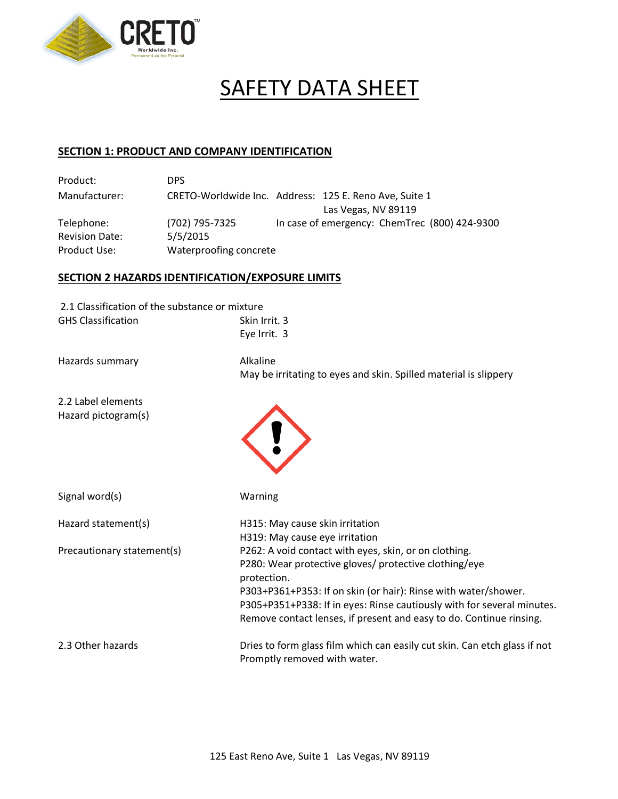

# SAFETY DATA SHEET

# **SECTION 1: PRODUCT AND COMPANY IDENTIFICATION**

| Product:              | DPS.                   |                                                        |
|-----------------------|------------------------|--------------------------------------------------------|
| Manufacturer:         |                        | CRETO-Worldwide Inc. Address: 125 E. Reno Ave, Suite 1 |
|                       |                        | Las Vegas, NV 89119                                    |
| Telephone:            | (702) 795-7325         | In case of emergency: ChemTrec (800) 424-9300          |
| <b>Revision Date:</b> | 5/5/2015               |                                                        |
| Product Use:          | Waterproofing concrete |                                                        |

# **SECTION 2 HAZARDS IDENTIFICATION/EXPOSURE LIMITS**

| 2.1 Classification of the substance or mixture |                                                                                                           |
|------------------------------------------------|-----------------------------------------------------------------------------------------------------------|
| <b>GHS Classification</b>                      | Skin Irrit. 3                                                                                             |
|                                                | Eye Irrit. 3                                                                                              |
| Hazards summary                                | Alkaline<br>May be irritating to eyes and skin. Spilled material is slippery                              |
| 2.2 Label elements                             |                                                                                                           |
| Hazard pictogram(s)                            |                                                                                                           |
| Signal word(s)                                 | Warning                                                                                                   |
| Hazard statement(s)                            | H315: May cause skin irritation                                                                           |
|                                                | H319: May cause eye irritation                                                                            |
| Precautionary statement(s)                     | P262: A void contact with eyes, skin, or on clothing.                                                     |
|                                                | P280: Wear protective gloves/ protective clothing/eye<br>protection.                                      |
|                                                | P303+P361+P353: If on skin (or hair): Rinse with water/shower.                                            |
|                                                | P305+P351+P338: If in eyes: Rinse cautiously with for several minutes.                                    |
|                                                | Remove contact lenses, if present and easy to do. Continue rinsing.                                       |
| 2.3 Other hazards                              | Dries to form glass film which can easily cut skin. Can etch glass if not<br>Promptly removed with water. |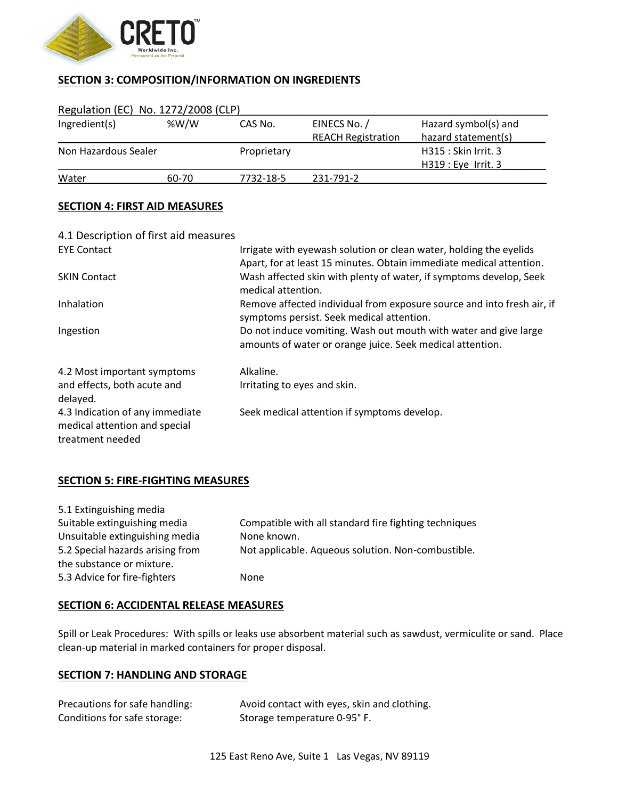

# **SECTION 3: COMPOSITION/INFORMATION ON INGREDIENTS**

| Regulation (EC) No. 1272/2008 (CLP) |           |                           |                      |
|-------------------------------------|-----------|---------------------------|----------------------|
| % $W/W$                             | CAS No.   | EINECS No. /              | Hazard symbol(s) and |
|                                     |           | <b>REACH Registration</b> | hazard statement(s)  |
| Non Hazardous Sealer                |           |                           | H315 : Skin Irrit. 3 |
|                                     |           |                           | $H319: Eye$ Irrit. 3 |
| 60-70                               | 7732-18-5 | 231-791-2                 |                      |
|                                     |           | Proprietary               |                      |

# **SECTION 4: FIRST AID MEASURES**

| 4.1 Description of first aid measures                                                |                                                                                                                                           |
|--------------------------------------------------------------------------------------|-------------------------------------------------------------------------------------------------------------------------------------------|
| <b>EYE Contact</b>                                                                   | Irrigate with eyewash solution or clean water, holding the eyelids<br>Apart, for at least 15 minutes. Obtain immediate medical attention. |
| <b>SKIN Contact</b>                                                                  | Wash affected skin with plenty of water, if symptoms develop, Seek<br>medical attention.                                                  |
| Inhalation                                                                           | Remove affected individual from exposure source and into fresh air, if<br>symptoms persist. Seek medical attention.                       |
| Ingestion                                                                            | Do not induce vomiting. Wash out mouth with water and give large<br>amounts of water or orange juice. Seek medical attention.             |
| 4.2 Most important symptoms                                                          | Alkaline.                                                                                                                                 |
| and effects, both acute and<br>delayed.                                              | Irritating to eyes and skin.                                                                                                              |
| 4.3 Indication of any immediate<br>medical attention and special<br>treatment needed | Seek medical attention if symptoms develop.                                                                                               |

# **SECTION 5: FIRE-FIGHTING MEASURES**

| 5.1 Extinguishing media          |                                                       |
|----------------------------------|-------------------------------------------------------|
| Suitable extinguishing media     | Compatible with all standard fire fighting techniques |
| Unsuitable extinguishing media   | None known.                                           |
| 5.2 Special hazards arising from | Not applicable. Aqueous solution. Non-combustible.    |
| the substance or mixture.        |                                                       |
| 5.3 Advice for fire-fighters     | None                                                  |

# **SECTION 6: ACCIDENTAL RELEASE MEASURES**

Spill or Leak Procedures: With spills or leaks use absorbent material such as sawdust, vermiculite or sand. Place clean-up material in marked containers for proper disposal.

# **SECTION 7: HANDLING AND STORAGE**

| Precautions for safe handling: | Avoid contact with eyes, skin and clothing. |
|--------------------------------|---------------------------------------------|
| Conditions for safe storage:   | Storage temperature 0-95°F.                 |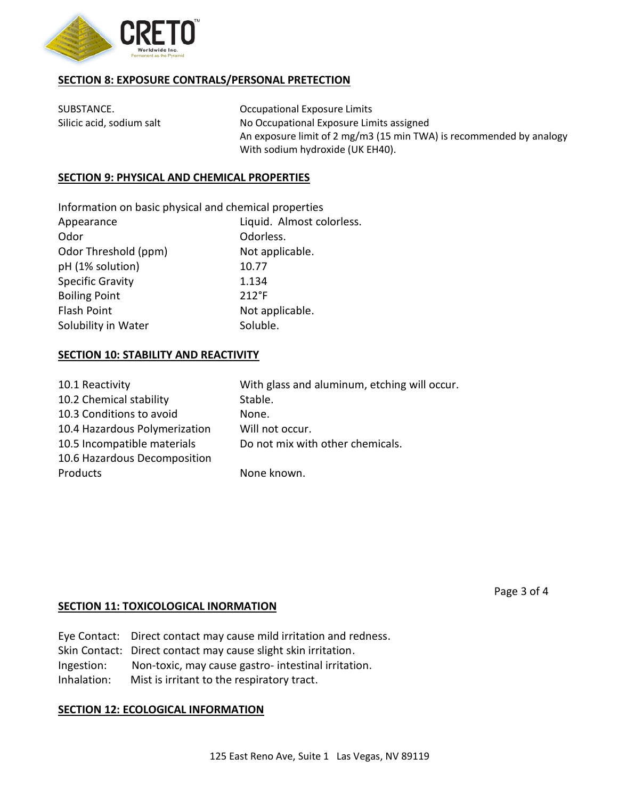

# **SECTION 8: EXPOSURE CONTRALS/PERSONAL PRETECTION**

SUBSTANCE. **CONSERVING THE SUBSTANCE** Occupational Exposure Limits Silicic acid, sodium salt No Occupational Exposure Limits assigned An exposure limit of 2 mg/m3 (15 min TWA) is recommended by analogy With sodium hydroxide (UK EH40).

# **SECTION 9: PHYSICAL AND CHEMICAL PROPERTIES**

Information on basic physical and chemical properties

| Liquid. Almost colorless. |  |
|---------------------------|--|
| Odorless.                 |  |
| Not applicable.           |  |
| 10.77                     |  |
| 1.134                     |  |
| $212^{\circ}F$            |  |
| Not applicable.           |  |
| Soluble.                  |  |
|                           |  |

# **SECTION 10: STABILITY AND REACTIVITY**

| 10.1 Reactivity               | With glass and aluminum, etching will occur. |
|-------------------------------|----------------------------------------------|
| 10.2 Chemical stability       | Stable.                                      |
| 10.3 Conditions to avoid      | None.                                        |
| 10.4 Hazardous Polymerization | Will not occur.                              |
| 10.5 Incompatible materials   | Do not mix with other chemicals.             |
| 10.6 Hazardous Decomposition  |                                              |
| Products                      | None known.                                  |

# **SECTION 11: TOXICOLOGICAL INORMATION**

|             | Eye Contact: Direct contact may cause mild irritation and redness. |
|-------------|--------------------------------------------------------------------|
|             | Skin Contact: Direct contact may cause slight skin irritation.     |
| Ingestion:  | Non-toxic, may cause gastro- intestinal irritation.                |
| Inhalation: | Mist is irritant to the respiratory tract.                         |

# **SECTION 12: ECOLOGICAL INFORMATION**

Page 3 of 4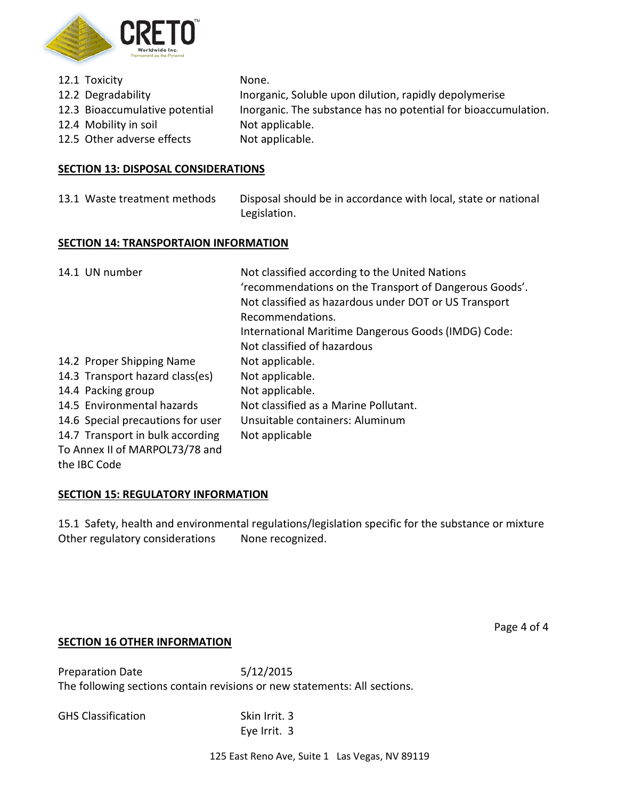

| 12.1 Toxicity                  | None.                                                          |
|--------------------------------|----------------------------------------------------------------|
| 12.2 Degradability             | Inorganic, Soluble upon dilution, rapidly depolymerise         |
| 12.3 Bioaccumulative potential | Inorganic. The substance has no potential for bioaccumulation. |
| 12.4 Mobility in soil          | Not applicable.                                                |
| 12.5 Other adverse effects     | Not applicable.                                                |

# **SECTION 13: DISPOSAL CONSIDERATIONS**

13.1 Waste treatment methods Disposal should be in accordance with local, state or national Legislation.

#### **SECTION 14: TRANSPORTAION INFORMATION**

| 14.1 UN number                    | Not classified according to the United Nations         |
|-----------------------------------|--------------------------------------------------------|
|                                   | 'recommendations on the Transport of Dangerous Goods'. |
|                                   | Not classified as hazardous under DOT or US Transport  |
|                                   | Recommendations.                                       |
|                                   | International Maritime Dangerous Goods (IMDG) Code:    |
|                                   | Not classified of hazardous                            |
| 14.2 Proper Shipping Name         | Not applicable.                                        |
| 14.3 Transport hazard class(es)   | Not applicable.                                        |
| 14.4 Packing group                | Not applicable.                                        |
| 14.5 Environmental hazards        | Not classified as a Marine Pollutant.                  |
| 14.6 Special precautions for user | Unsuitable containers: Aluminum                        |
| 14.7 Transport in bulk according  | Not applicable                                         |
| To Annex II of MARPOL73/78 and    |                                                        |
| the IBC Code                      |                                                        |

# **SECTION 15: REGULATORY INFORMATION**

15.1 Safety, health and environmental regulations/legislation specific for the substance or mixture Other regulatory considerations None recognized.

Page 4 of 4

# **SECTION 16 OTHER INFORMATION**

Preparation Date 5/12/2015 The following sections contain revisions or new statements: All sections.

GHS Classification Skin Irrit. 3

Eye Irrit. 3